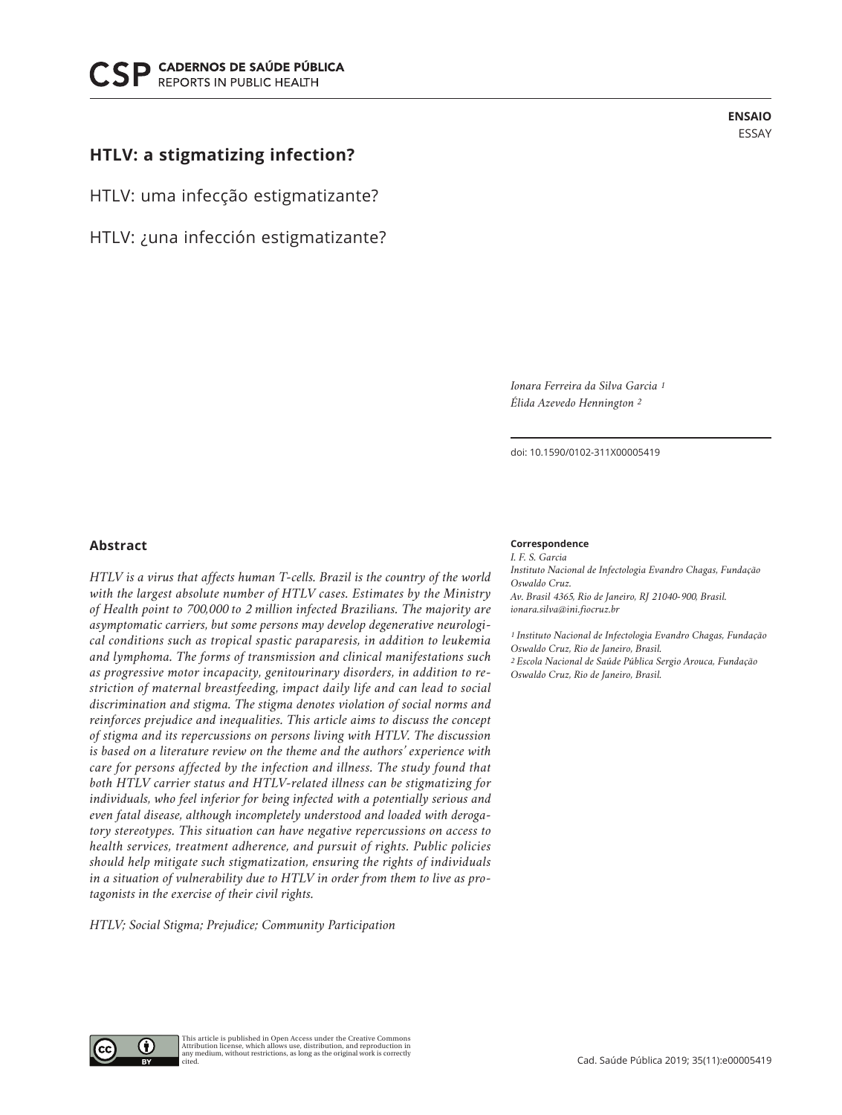# **HTLV: a stigmatizing infection?**

HTLV: uma infecção estigmatizante?

HTLV: ¿una infección estigmatizante?

**ENSAIO** ESSAY

*Ionara Ferreira da Silva Garcia 1 Élida Azevedo Hennington 2*

doi: 10.1590/0102-311X00005419

## **Abstract**

*HTLV is a virus that affects human T-cells. Brazil is the country of the world with the largest absolute number of HTLV cases. Estimates by the Ministry of Health point to 700,000 to 2 million infected Brazilians. The majority are asymptomatic carriers, but some persons may develop degenerative neurological conditions such as tropical spastic paraparesis, in addition to leukemia and lymphoma. The forms of transmission and clinical manifestations such as progressive motor incapacity, genitourinary disorders, in addition to restriction of maternal breastfeeding, impact daily life and can lead to social discrimination and stigma. The stigma denotes violation of social norms and reinforces prejudice and inequalities. This article aims to discuss the concept of stigma and its repercussions on persons living with HTLV. The discussion is based on a literature review on the theme and the authors' experience with*  care for persons affected by the infection and illness. The study found that *both HTLV carrier status and HTLV-related illness can be stigmatizing for individuals, who feel inferior for being infected with a potentially serious and even fatal disease, although incompletely understood and loaded with derogatory stereotypes. This situation can have negative repercussions on access to health services, treatment adherence, and pursuit of rights. Public policies should help mitigate such stigmatization, ensuring the rights of individuals in a situation of vulnerability due to HTLV in order from them to live as protagonists in the exercise of their civil rights.*

*HTLV; Social Stigma; Prejudice; Community Participation*

#### **Correspondence**

*I. F. S. Garcia Instituto Nacional de Infectologia Evandro Chagas, Fundação Oswaldo Cruz. Av. Brasil 4365, Rio de Janeiro, RJ 21040-900, Brasil. ionara.silva@ini.fiocruz.br*

*1 Instituto Nacional de Infectologia Evandro Chagas, Fundação Oswaldo Cruz, Rio de Janeiro, Brasil. 2 Escola Nacional de Saúde Pública Sergio Arouca, Fundação Oswaldo Cruz, Rio de Janeiro, Brasil.*

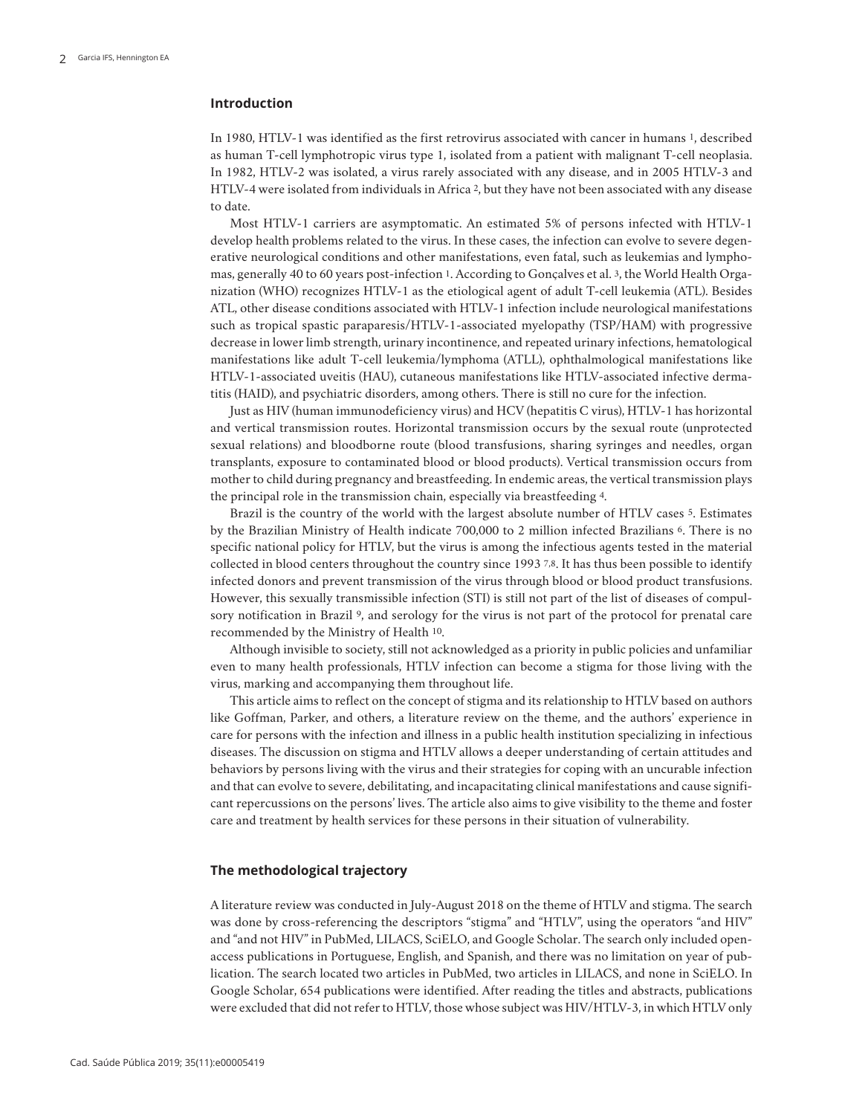### **Introduction**

In 1980, HTLV-1 was identified as the first retrovirus associated with cancer in humans 1, described as human T-cell lymphotropic virus type 1, isolated from a patient with malignant T-cell neoplasia. In 1982, HTLV-2 was isolated, a virus rarely associated with any disease, and in 2005 HTLV-3 and HTLV-4 were isolated from individuals in Africa 2, but they have not been associated with any disease to date.

Most HTLV-1 carriers are asymptomatic. An estimated 5% of persons infected with HTLV-1 develop health problems related to the virus. In these cases, the infection can evolve to severe degenerative neurological conditions and other manifestations, even fatal, such as leukemias and lymphomas, generally 40 to 60 years post-infection 1. According to Gonçalves et al. 3, the World Health Organization (WHO) recognizes HTLV-1 as the etiological agent of adult T-cell leukemia (ATL). Besides ATL, other disease conditions associated with HTLV-1 infection include neurological manifestations such as tropical spastic paraparesis/HTLV-1-associated myelopathy (TSP/HAM) with progressive decrease in lower limb strength, urinary incontinence, and repeated urinary infections, hematological manifestations like adult T-cell leukemia/lymphoma (ATLL), ophthalmological manifestations like HTLV-1-associated uveitis (HAU), cutaneous manifestations like HTLV-associated infective dermatitis (HAID), and psychiatric disorders, among others. There is still no cure for the infection.

Just as HIV (human immunodeficiency virus) and HCV (hepatitis C virus), HTLV-1 has horizontal and vertical transmission routes. Horizontal transmission occurs by the sexual route (unprotected sexual relations) and bloodborne route (blood transfusions, sharing syringes and needles, organ transplants, exposure to contaminated blood or blood products). Vertical transmission occurs from mother to child during pregnancy and breastfeeding. In endemic areas, the vertical transmission plays the principal role in the transmission chain, especially via breastfeeding 4.

Brazil is the country of the world with the largest absolute number of HTLV cases 5. Estimates by the Brazilian Ministry of Health indicate 700,000 to 2 million infected Brazilians 6. There is no specific national policy for HTLV, but the virus is among the infectious agents tested in the material collected in blood centers throughout the country since 1993 7,8. It has thus been possible to identify infected donors and prevent transmission of the virus through blood or blood product transfusions. However, this sexually transmissible infection (STI) is still not part of the list of diseases of compulsory notification in Brazil <sup>9</sup>, and serology for the virus is not part of the protocol for prenatal care recommended by the Ministry of Health 10.

Although invisible to society, still not acknowledged as a priority in public policies and unfamiliar even to many health professionals, HTLV infection can become a stigma for those living with the virus, marking and accompanying them throughout life.

This article aims to reflect on the concept of stigma and its relationship to HTLV based on authors like Goffman, Parker, and others, a literature review on the theme, and the authors' experience in care for persons with the infection and illness in a public health institution specializing in infectious diseases. The discussion on stigma and HTLV allows a deeper understanding of certain attitudes and behaviors by persons living with the virus and their strategies for coping with an uncurable infection and that can evolve to severe, debilitating, and incapacitating clinical manifestations and cause significant repercussions on the persons' lives. The article also aims to give visibility to the theme and foster care and treatment by health services for these persons in their situation of vulnerability.

## **The methodological trajectory**

A literature review was conducted in July-August 2018 on the theme of HTLV and stigma. The search was done by cross-referencing the descriptors "stigma" and "HTLV", using the operators "and HIV" and "and not HIV" in PubMed, LILACS, SciELO, and Google Scholar. The search only included openaccess publications in Portuguese, English, and Spanish, and there was no limitation on year of publication. The search located two articles in PubMed, two articles in LILACS, and none in SciELO. In Google Scholar, 654 publications were identified. After reading the titles and abstracts, publications were excluded that did not refer to HTLV, those whose subject was HIV/HTLV-3, in which HTLV only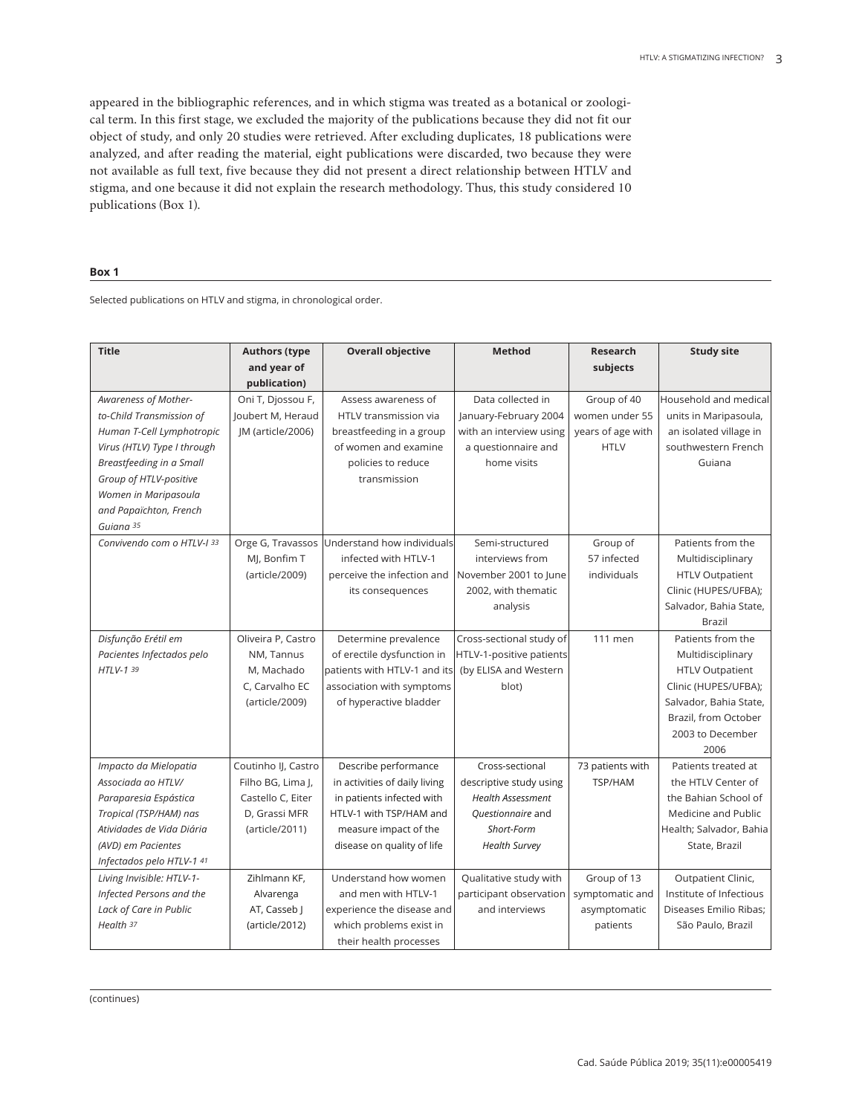appeared in the bibliographic references, and in which stigma was treated as a botanical or zoological term. In this first stage, we excluded the majority of the publications because they did not fit our object of study, and only 20 studies were retrieved. After excluding duplicates, 18 publications were analyzed, and after reading the material, eight publications were discarded, two because they were not available as full text, five because they did not present a direct relationship between HTLV and stigma, and one because it did not explain the research methodology. Thus, this study considered 10 publications (Box 1).

#### **Box 1**

Selected publications on HTLV and stigma, in chronological order.

| <b>Title</b>                | <b>Authors (type</b> | <b>Overall objective</b>      | <b>Method</b>            | <b>Research</b>   | <b>Study site</b>       |
|-----------------------------|----------------------|-------------------------------|--------------------------|-------------------|-------------------------|
|                             | and year of          |                               |                          | subjects          |                         |
|                             | publication)         |                               |                          |                   |                         |
| Awareness of Mother-        | Oni T, Djossou F,    | Assess awareness of           | Data collected in        | Group of 40       | Household and medical   |
| to-Child Transmission of    | Joubert M, Heraud    | HTLV transmission via         | January-February 2004    | women under 55    | units in Maripasoula,   |
| Human T-Cell Lymphotropic   | JM (article/2006)    | breastfeeding in a group      | with an interview using  | years of age with | an isolated village in  |
| Virus (HTLV) Type I through |                      | of women and examine          | a questionnaire and      | <b>HTLV</b>       | southwestern French     |
| Breastfeeding in a Small    |                      | policies to reduce            | home visits              |                   | Guiana                  |
| Group of HTLV-positive      |                      | transmission                  |                          |                   |                         |
| Women in Maripasoula        |                      |                               |                          |                   |                         |
| and Papaïchton, French      |                      |                               |                          |                   |                         |
| Guiana <sup>35</sup>        |                      |                               |                          |                   |                         |
| Convivendo com o HTLV-I 33  | Orge G, Travassos    | Understand how individuals    | Semi-structured          | Group of          | Patients from the       |
|                             | MJ, Bonfim T         | infected with HTLV-1          | interviews from          | 57 infected       | Multidisciplinary       |
|                             | (article/2009)       | perceive the infection and    | November 2001 to June    | individuals       | <b>HTLV Outpatient</b>  |
|                             |                      | its consequences              | 2002, with thematic      |                   | Clinic (HUPES/UFBA);    |
|                             |                      |                               | analysis                 |                   | Salvador, Bahia State,  |
|                             |                      |                               |                          |                   | <b>Brazil</b>           |
| Disfunção Erétil em         | Oliveira P, Castro   | Determine prevalence          | Cross-sectional study of | 111 men           | Patients from the       |
| Pacientes Infectados pelo   | NM, Tannus           | of erectile dysfunction in    | HTLV-1-positive patients |                   | Multidisciplinary       |
| HTLV-1 39                   | M, Machado           | patients with HTLV-1 and its  | (by ELISA and Western    |                   | <b>HTLV Outpatient</b>  |
|                             | C, Carvalho EC       | association with symptoms     | blot)                    |                   | Clinic (HUPES/UFBA);    |
|                             | (article/2009)       | of hyperactive bladder        |                          |                   | Salvador, Bahia State,  |
|                             |                      |                               |                          |                   | Brazil, from October    |
|                             |                      |                               |                          |                   | 2003 to December        |
|                             |                      |                               |                          |                   | 2006                    |
| Impacto da Mielopatia       | Coutinho IJ, Castro  | Describe performance          | Cross-sectional          | 73 patients with  | Patients treated at     |
| Associada ao HTLV/          | Filho BG, Lima J,    | in activities of daily living | descriptive study using  | TSP/HAM           | the HTLV Center of      |
| Paraparesia Espástica       | Castello C, Eiter    | in patients infected with     | <b>Health Assessment</b> |                   | the Bahian School of    |
| Tropical (TSP/HAM) nas      | D, Grassi MFR        | HTLV-1 with TSP/HAM and       | Ouestionnaire and        |                   | Medicine and Public     |
| Atividades de Vida Diária   | (article/2011)       | measure impact of the         | Short-Form               |                   | Health; Salvador, Bahia |
| (AVD) em Pacientes          |                      | disease on quality of life    | <b>Health Survey</b>     |                   | State, Brazil           |
| Infectados pelo HTLV-1 41   |                      |                               |                          |                   |                         |
| Living Invisible: HTLV-1-   | Zihlmann KF,         | Understand how women          | Qualitative study with   | Group of 13       | Outpatient Clinic,      |
| Infected Persons and the    | Alvarenga            | and men with HTLV-1           | participant observation  | symptomatic and   | Institute of Infectious |
| Lack of Care in Public      | AT, Casseb J         | experience the disease and    | and interviews           | asymptomatic      | Diseases Emilio Ribas;  |
| Health 37                   | (article/2012)       | which problems exist in       |                          | patients          | São Paulo, Brazil       |
|                             |                      | their health processes        |                          |                   |                         |

(continues)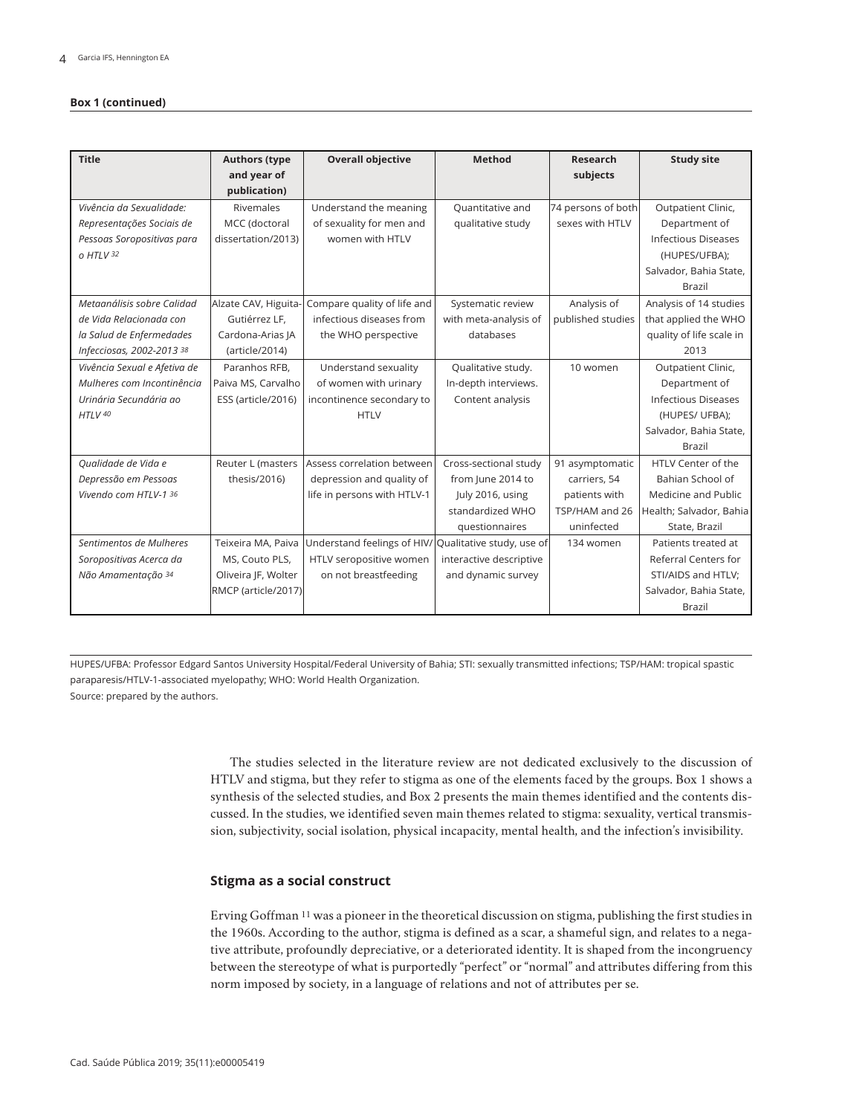#### **Box 1 (continued)**

| <b>Title</b>                 | <b>Authors (type</b> | <b>Overall objective</b>                              | <b>Method</b>           | <b>Research</b>    | <b>Study site</b>           |
|------------------------------|----------------------|-------------------------------------------------------|-------------------------|--------------------|-----------------------------|
|                              | and year of          |                                                       |                         | subjects           |                             |
|                              | publication)         |                                                       |                         |                    |                             |
| Vivência da Sexualidade:     | Rivemales            | Understand the meaning                                | Quantitative and        | 74 persons of both | Outpatient Clinic,          |
| Representações Sociais de    | MCC (doctoral        | of sexuality for men and                              | qualitative study       | sexes with HTLV    | Department of               |
| Pessoas Soropositivas para   | dissertation/2013)   | women with HTLV                                       |                         |                    | <b>Infectious Diseases</b>  |
| o HTLV 32                    |                      |                                                       |                         |                    | (HUPES/UFBA);               |
|                              |                      |                                                       |                         |                    | Salvador, Bahia State,      |
|                              |                      |                                                       |                         |                    | <b>Brazil</b>               |
| Metaanálisis sobre Calidad   | Alzate CAV, Higuita- | Compare quality of life and                           | Systematic review       | Analysis of        | Analysis of 14 studies      |
| de Vida Relacionada con      | Gutiérrez LF,        | infectious diseases from                              | with meta-analysis of   | published studies  | that applied the WHO        |
| la Salud de Enfermedades     | Cardona-Arias JA     | the WHO perspective                                   | databases               |                    | quality of life scale in    |
| Infecciosas, 2002-2013 38    | (article/2014)       |                                                       |                         |                    | 2013                        |
| Vivência Sexual e Afetiva de | Paranhos RFB,        | Understand sexuality                                  | Qualitative study.      | 10 women           | Outpatient Clinic,          |
| Mulheres com Incontinência   | Paiva MS, Carvalho   | of women with urinary                                 | In-depth interviews.    |                    | Department of               |
| Urinária Secundária ao       | ESS (article/2016)   | incontinence secondary to                             | Content analysis        |                    | <b>Infectious Diseases</b>  |
| HTLV 40                      |                      | <b>HTLV</b>                                           |                         |                    | (HUPES/ UFBA);              |
|                              |                      |                                                       |                         |                    | Salvador, Bahia State,      |
|                              |                      |                                                       |                         |                    | Brazil                      |
| Qualidade de Vida e          | Reuter L (masters    | Assess correlation between                            | Cross-sectional study   | 91 asymptomatic    | HTLV Center of the          |
| Depressão em Pessoas         | thesis/2016)         | depression and quality of                             | from June 2014 to       | carriers, 54       | Bahian School of            |
| Vivendo com HTLV-1 36        |                      | life in persons with HTLV-1                           | July 2016, using        | patients with      | Medicine and Public         |
|                              |                      |                                                       | standardized WHO        | TSP/HAM and 26     | Health; Salvador, Bahia     |
|                              |                      |                                                       | questionnaires          | uninfected         | State, Brazil               |
| Sentimentos de Mulheres      | Teixeira MA, Paiva   | Understand feelings of HIV/ Qualitative study, use of |                         | 134 women          | Patients treated at         |
| Soropositivas Acerca da      | MS, Couto PLS,       | HTLV seropositive women                               | interactive descriptive |                    | <b>Referral Centers for</b> |
| Não Amamentação 34           | Oliveira JF, Wolter  | on not breastfeeding                                  | and dynamic survey      |                    | STI/AIDS and HTLV;          |
|                              | RMCP (article/2017)  |                                                       |                         |                    | Salvador, Bahia State,      |
|                              |                      |                                                       |                         |                    | <b>Brazil</b>               |

HUPES/UFBA: Professor Edgard Santos University Hospital/Federal University of Bahia; STI: sexually transmitted infections; TSP/HAM: tropical spastic paraparesis/HTLV-1-associated myelopathy; WHO: World Health Organization. Source: prepared by the authors.

> The studies selected in the literature review are not dedicated exclusively to the discussion of HTLV and stigma, but they refer to stigma as one of the elements faced by the groups. Box 1 shows a synthesis of the selected studies, and Box 2 presents the main themes identified and the contents discussed. In the studies, we identified seven main themes related to stigma: sexuality, vertical transmission, subjectivity, social isolation, physical incapacity, mental health, and the infection's invisibility.

## **Stigma as a social construct**

Erving Goffman 11 was a pioneer in the theoretical discussion on stigma, publishing the first studies in the 1960s. According to the author, stigma is defined as a scar, a shameful sign, and relates to a negative attribute, profoundly depreciative, or a deteriorated identity. It is shaped from the incongruency between the stereotype of what is purportedly "perfect" or "normal" and attributes differing from this norm imposed by society, in a language of relations and not of attributes per se.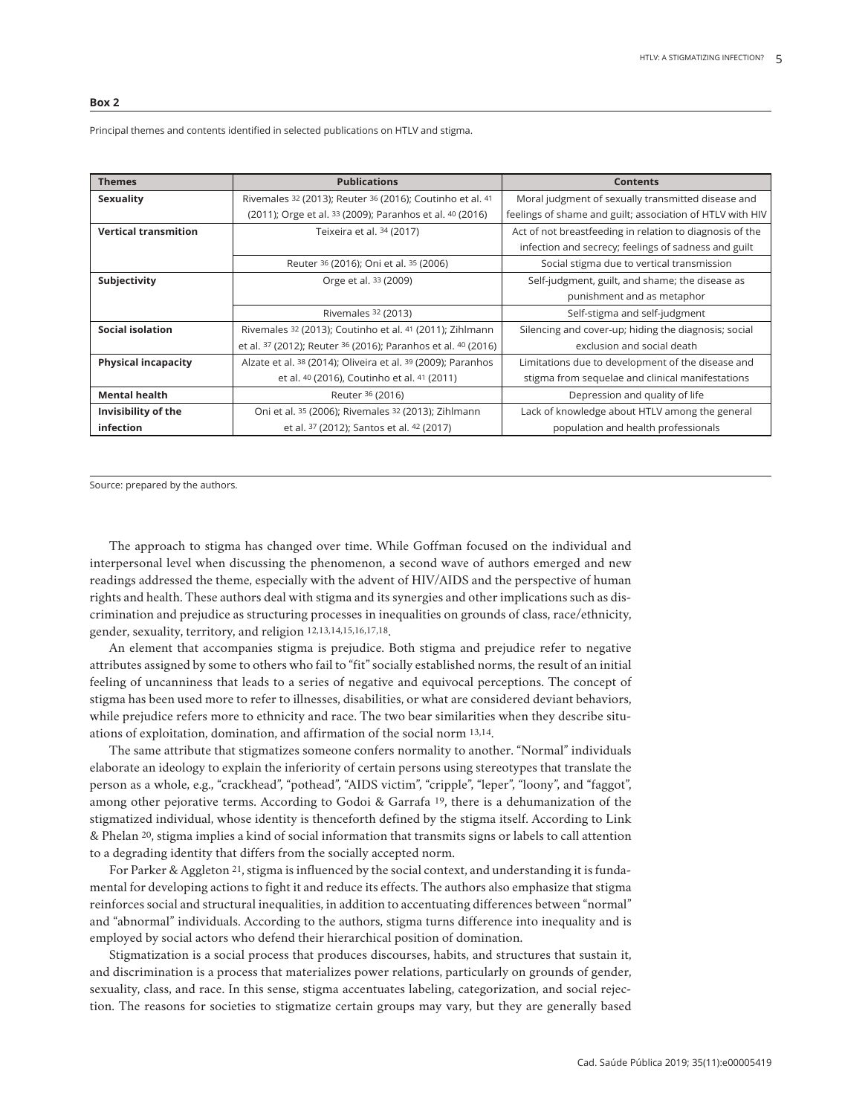#### **Box 2**

Principal themes and contents identified in selected publications on HTLV and stigma.

| <b>Themes</b>               | <b>Publications</b>                                                            | <b>Contents</b>                                           |
|-----------------------------|--------------------------------------------------------------------------------|-----------------------------------------------------------|
| Sexuality                   | Rivemales 32 (2013); Reuter 36 (2016); Coutinho et al. 41                      | Moral judgment of sexually transmitted disease and        |
|                             | (2011); Orge et al. 33 (2009); Paranhos et al. 40 (2016)                       | feelings of shame and guilt; association of HTLV with HIV |
| <b>Vertical transmition</b> | Teixeira et al. 34 (2017)                                                      | Act of not breastfeeding in relation to diagnosis of the  |
|                             |                                                                                | infection and secrecy; feelings of sadness and guilt      |
|                             | Reuter 36 (2016); Oni et al. 35 (2006)                                         | Social stigma due to vertical transmission                |
| Subjectivity                | Orge et al. 33 (2009)                                                          | Self-judgment, guilt, and shame; the disease as           |
|                             |                                                                                | punishment and as metaphor                                |
|                             | Rivemales 32 (2013)                                                            | Self-stigma and self-judgment                             |
| <b>Social isolation</b>     | Rivemales <sup>32</sup> (2013); Coutinho et al. <sup>41</sup> (2011); Zihlmann | Silencing and cover-up; hiding the diagnosis; social      |
|                             | et al. 37 (2012); Reuter 36 (2016); Paranhos et al. 40 (2016)                  | exclusion and social death                                |
| <b>Physical incapacity</b>  | Alzate et al. 38 (2014); Oliveira et al. 39 (2009); Paranhos                   | Limitations due to development of the disease and         |
|                             | et al. 40 (2016), Coutinho et al. 41 (2011)                                    | stigma from sequelae and clinical manifestations          |
| <b>Mental health</b>        | Reuter 36 (2016)                                                               | Depression and quality of life                            |
| Invisibility of the         | Oni et al. 35 (2006); Rivemales 32 (2013); Zihlmann                            | Lack of knowledge about HTLV among the general            |
| infection                   | et al. 37 (2012); Santos et al. 42 (2017)                                      | population and health professionals                       |

Source: prepared by the authors.

The approach to stigma has changed over time. While Goffman focused on the individual and interpersonal level when discussing the phenomenon, a second wave of authors emerged and new readings addressed the theme, especially with the advent of HIV/AIDS and the perspective of human rights and health. These authors deal with stigma and its synergies and other implications such as discrimination and prejudice as structuring processes in inequalities on grounds of class, race/ethnicity, gender, sexuality, territory, and religion 12,13,14,15,16,17,18.

An element that accompanies stigma is prejudice. Both stigma and prejudice refer to negative attributes assigned by some to others who fail to "fit" socially established norms, the result of an initial feeling of uncanniness that leads to a series of negative and equivocal perceptions. The concept of stigma has been used more to refer to illnesses, disabilities, or what are considered deviant behaviors, while prejudice refers more to ethnicity and race. The two bear similarities when they describe situations of exploitation, domination, and affirmation of the social norm 13,14.

The same attribute that stigmatizes someone confers normality to another. "Normal" individuals elaborate an ideology to explain the inferiority of certain persons using stereotypes that translate the person as a whole, e.g., "crackhead", "pothead", "AIDS victim", "cripple", "leper", "loony", and "faggot", among other pejorative terms. According to Godoi & Garrafa 19, there is a dehumanization of the stigmatized individual, whose identity is thenceforth defined by the stigma itself. According to Link & Phelan 20, stigma implies a kind of social information that transmits signs or labels to call attention to a degrading identity that differs from the socially accepted norm.

For Parker & Aggleton 21, stigma is influenced by the social context, and understanding it is fundamental for developing actions to fight it and reduce its effects. The authors also emphasize that stigma reinforces social and structural inequalities, in addition to accentuating differences between "normal" and "abnormal" individuals. According to the authors, stigma turns difference into inequality and is employed by social actors who defend their hierarchical position of domination.

Stigmatization is a social process that produces discourses, habits, and structures that sustain it, and discrimination is a process that materializes power relations, particularly on grounds of gender, sexuality, class, and race. In this sense, stigma accentuates labeling, categorization, and social rejection. The reasons for societies to stigmatize certain groups may vary, but they are generally based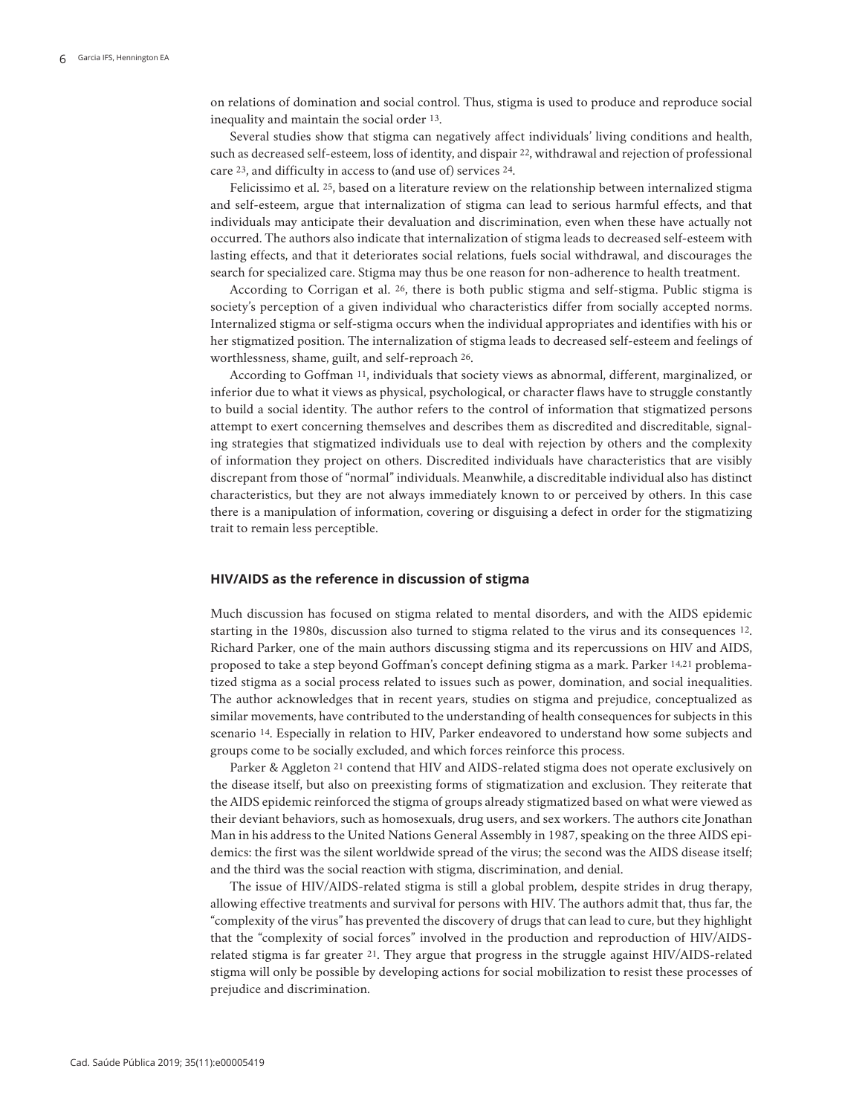on relations of domination and social control. Thus, stigma is used to produce and reproduce social inequality and maintain the social order 13.

Several studies show that stigma can negatively affect individuals' living conditions and health, such as decreased self-esteem, loss of identity, and dispair 22, withdrawal and rejection of professional care 23, and difficulty in access to (and use of) services 24.

Felicissimo et al. 25, based on a literature review on the relationship between internalized stigma and self-esteem, argue that internalization of stigma can lead to serious harmful effects, and that individuals may anticipate their devaluation and discrimination, even when these have actually not occurred. The authors also indicate that internalization of stigma leads to decreased self-esteem with lasting effects, and that it deteriorates social relations, fuels social withdrawal, and discourages the search for specialized care. Stigma may thus be one reason for non-adherence to health treatment.

According to Corrigan et al. 26, there is both public stigma and self-stigma. Public stigma is society's perception of a given individual who characteristics differ from socially accepted norms. Internalized stigma or self-stigma occurs when the individual appropriates and identifies with his or her stigmatized position. The internalization of stigma leads to decreased self-esteem and feelings of worthlessness, shame, guilt, and self-reproach 26.

According to Goffman 11, individuals that society views as abnormal, different, marginalized, or inferior due to what it views as physical, psychological, or character flaws have to struggle constantly to build a social identity. The author refers to the control of information that stigmatized persons attempt to exert concerning themselves and describes them as discredited and discreditable, signaling strategies that stigmatized individuals use to deal with rejection by others and the complexity of information they project on others. Discredited individuals have characteristics that are visibly discrepant from those of "normal" individuals. Meanwhile, a discreditable individual also has distinct characteristics, but they are not always immediately known to or perceived by others. In this case there is a manipulation of information, covering or disguising a defect in order for the stigmatizing trait to remain less perceptible.

#### **HIV/AIDS as the reference in discussion of stigma**

Much discussion has focused on stigma related to mental disorders, and with the AIDS epidemic starting in the 1980s, discussion also turned to stigma related to the virus and its consequences 12. Richard Parker, one of the main authors discussing stigma and its repercussions on HIV and AIDS, proposed to take a step beyond Goffman's concept defining stigma as a mark. Parker 14,21 problematized stigma as a social process related to issues such as power, domination, and social inequalities. The author acknowledges that in recent years, studies on stigma and prejudice, conceptualized as similar movements, have contributed to the understanding of health consequences for subjects in this scenario 14. Especially in relation to HIV, Parker endeavored to understand how some subjects and groups come to be socially excluded, and which forces reinforce this process.

Parker & Aggleton 21 contend that HIV and AIDS-related stigma does not operate exclusively on the disease itself, but also on preexisting forms of stigmatization and exclusion. They reiterate that the AIDS epidemic reinforced the stigma of groups already stigmatized based on what were viewed as their deviant behaviors, such as homosexuals, drug users, and sex workers. The authors cite Jonathan Man in his address to the United Nations General Assembly in 1987, speaking on the three AIDS epidemics: the first was the silent worldwide spread of the virus; the second was the AIDS disease itself; and the third was the social reaction with stigma, discrimination, and denial.

The issue of HIV/AIDS-related stigma is still a global problem, despite strides in drug therapy, allowing effective treatments and survival for persons with HIV. The authors admit that, thus far, the "complexity of the virus" has prevented the discovery of drugs that can lead to cure, but they highlight that the "complexity of social forces" involved in the production and reproduction of HIV/AIDSrelated stigma is far greater 21. They argue that progress in the struggle against HIV/AIDS-related stigma will only be possible by developing actions for social mobilization to resist these processes of prejudice and discrimination.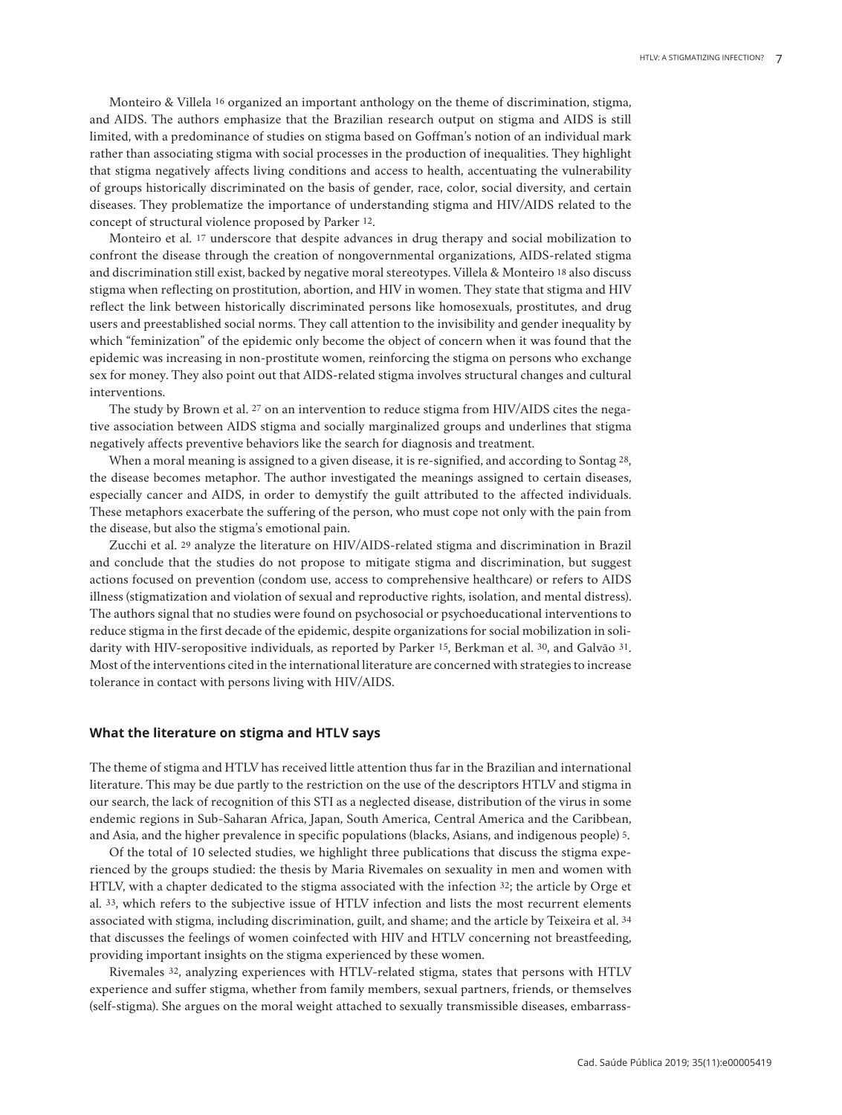Monteiro & Villela 16 organized an important anthology on the theme of discrimination, stigma, and AIDS. The authors emphasize that the Brazilian research output on stigma and AIDS is still limited, with a predominance of studies on stigma based on Goffman's notion of an individual mark rather than associating stigma with social processes in the production of inequalities. They highlight that stigma negatively affects living conditions and access to health, accentuating the vulnerability of groups historically discriminated on the basis of gender, race, color, social diversity, and certain diseases. They problematize the importance of understanding stigma and HIV/AIDS related to the concept of structural violence proposed by Parker 12.

Monteiro et al. 17 underscore that despite advances in drug therapy and social mobilization to confront the disease through the creation of nongovernmental organizations, AIDS-related stigma and discrimination still exist, backed by negative moral stereotypes. Villela & Monteiro 18 also discuss stigma when reflecting on prostitution, abortion, and HIV in women. They state that stigma and HIV reflect the link between historically discriminated persons like homosexuals, prostitutes, and drug users and preestablished social norms. They call attention to the invisibility and gender inequality by which "feminization" of the epidemic only become the object of concern when it was found that the epidemic was increasing in non-prostitute women, reinforcing the stigma on persons who exchange sex for money. They also point out that AIDS-related stigma involves structural changes and cultural interventions.

The study by Brown et al. 27 on an intervention to reduce stigma from HIV/AIDS cites the negative association between AIDS stigma and socially marginalized groups and underlines that stigma negatively affects preventive behaviors like the search for diagnosis and treatment.

When a moral meaning is assigned to a given disease, it is re-signified, and according to Sontag 28, the disease becomes metaphor. The author investigated the meanings assigned to certain diseases, especially cancer and AIDS, in order to demystify the guilt attributed to the affected individuals. These metaphors exacerbate the suffering of the person, who must cope not only with the pain from the disease, but also the stigma's emotional pain.

Zucchi et al. 29 analyze the literature on HIV/AIDS-related stigma and discrimination in Brazil and conclude that the studies do not propose to mitigate stigma and discrimination, but suggest actions focused on prevention (condom use, access to comprehensive healthcare) or refers to AIDS illness (stigmatization and violation of sexual and reproductive rights, isolation, and mental distress). The authors signal that no studies were found on psychosocial or psychoeducational interventions to reduce stigma in the first decade of the epidemic, despite organizations for social mobilization in solidarity with HIV-seropositive individuals, as reported by Parker 15, Berkman et al. 30, and Galvão 31. Most of the interventions cited in the international literature are concerned with strategies to increase tolerance in contact with persons living with HIV/AIDS.

#### **What the literature on stigma and HTLV says**

The theme of stigma and HTLV has received little attention thus far in the Brazilian and international literature. This may be due partly to the restriction on the use of the descriptors HTLV and stigma in our search, the lack of recognition of this STI as a neglected disease, distribution of the virus in some endemic regions in Sub-Saharan Africa, Japan, South America, Central America and the Caribbean, and Asia, and the higher prevalence in specific populations (blacks, Asians, and indigenous people) 5.

Of the total of 10 selected studies, we highlight three publications that discuss the stigma experienced by the groups studied: the thesis by Maria Rivemales on sexuality in men and women with HTLV, with a chapter dedicated to the stigma associated with the infection 32; the article by Orge et al. 33, which refers to the subjective issue of HTLV infection and lists the most recurrent elements associated with stigma, including discrimination, guilt, and shame; and the article by Teixeira et al. 34 that discusses the feelings of women coinfected with HIV and HTLV concerning not breastfeeding, providing important insights on the stigma experienced by these women.

Rivemales 32, analyzing experiences with HTLV-related stigma, states that persons with HTLV experience and suffer stigma, whether from family members, sexual partners, friends, or themselves (self-stigma). She argues on the moral weight attached to sexually transmissible diseases, embarrass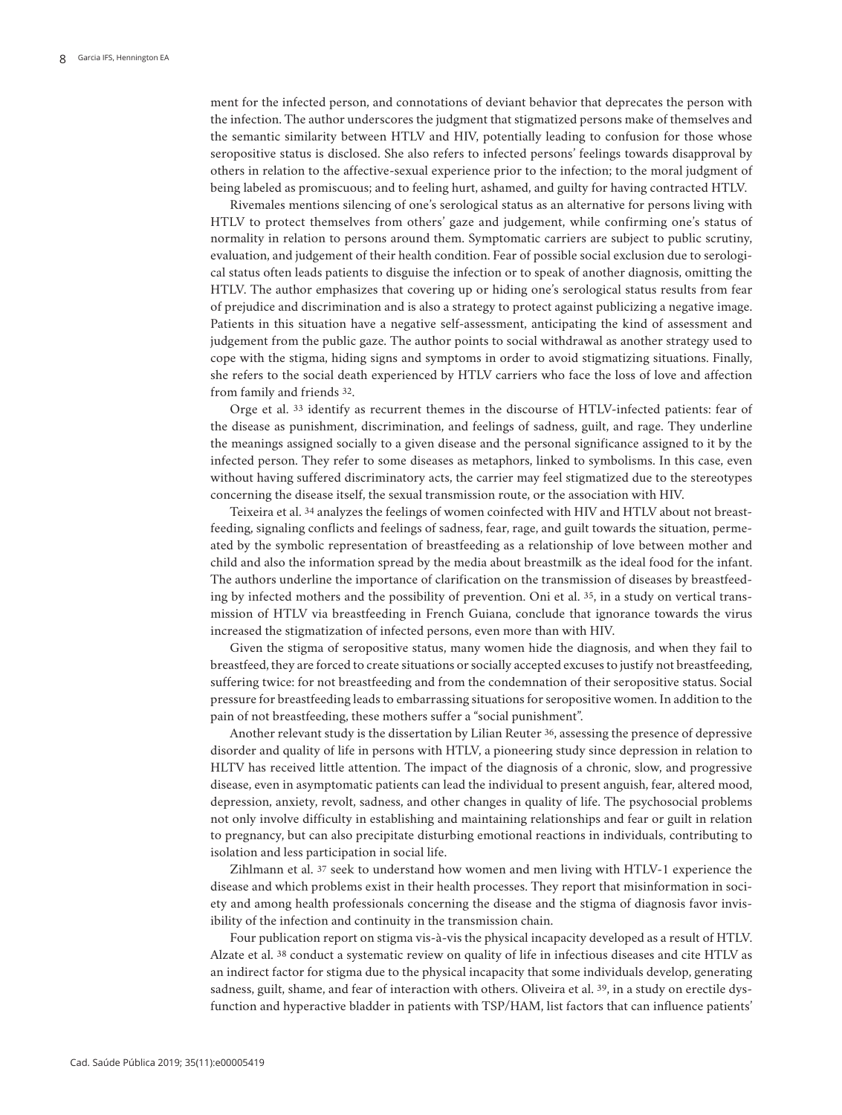ment for the infected person, and connotations of deviant behavior that deprecates the person with the infection. The author underscores the judgment that stigmatized persons make of themselves and the semantic similarity between HTLV and HIV, potentially leading to confusion for those whose seropositive status is disclosed. She also refers to infected persons' feelings towards disapproval by others in relation to the affective-sexual experience prior to the infection; to the moral judgment of being labeled as promiscuous; and to feeling hurt, ashamed, and guilty for having contracted HTLV.

Rivemales mentions silencing of one's serological status as an alternative for persons living with HTLV to protect themselves from others' gaze and judgement, while confirming one's status of normality in relation to persons around them. Symptomatic carriers are subject to public scrutiny, evaluation, and judgement of their health condition. Fear of possible social exclusion due to serological status often leads patients to disguise the infection or to speak of another diagnosis, omitting the HTLV. The author emphasizes that covering up or hiding one's serological status results from fear of prejudice and discrimination and is also a strategy to protect against publicizing a negative image. Patients in this situation have a negative self-assessment, anticipating the kind of assessment and judgement from the public gaze. The author points to social withdrawal as another strategy used to cope with the stigma, hiding signs and symptoms in order to avoid stigmatizing situations. Finally, she refers to the social death experienced by HTLV carriers who face the loss of love and affection from family and friends 32.

Orge et al. 33 identify as recurrent themes in the discourse of HTLV-infected patients: fear of the disease as punishment, discrimination, and feelings of sadness, guilt, and rage. They underline the meanings assigned socially to a given disease and the personal significance assigned to it by the infected person. They refer to some diseases as metaphors, linked to symbolisms. In this case, even without having suffered discriminatory acts, the carrier may feel stigmatized due to the stereotypes concerning the disease itself, the sexual transmission route, or the association with HIV.

Teixeira et al. 34 analyzes the feelings of women coinfected with HIV and HTLV about not breastfeeding, signaling conflicts and feelings of sadness, fear, rage, and guilt towards the situation, permeated by the symbolic representation of breastfeeding as a relationship of love between mother and child and also the information spread by the media about breastmilk as the ideal food for the infant. The authors underline the importance of clarification on the transmission of diseases by breastfeeding by infected mothers and the possibility of prevention. Oni et al. 35, in a study on vertical transmission of HTLV via breastfeeding in French Guiana, conclude that ignorance towards the virus increased the stigmatization of infected persons, even more than with HIV.

Given the stigma of seropositive status, many women hide the diagnosis, and when they fail to breastfeed, they are forced to create situations or socially accepted excuses to justify not breastfeeding, suffering twice: for not breastfeeding and from the condemnation of their seropositive status. Social pressure for breastfeeding leads to embarrassing situations for seropositive women. In addition to the pain of not breastfeeding, these mothers suffer a "social punishment".

Another relevant study is the dissertation by Lilian Reuter 36, assessing the presence of depressive disorder and quality of life in persons with HTLV, a pioneering study since depression in relation to HLTV has received little attention. The impact of the diagnosis of a chronic, slow, and progressive disease, even in asymptomatic patients can lead the individual to present anguish, fear, altered mood, depression, anxiety, revolt, sadness, and other changes in quality of life. The psychosocial problems not only involve difficulty in establishing and maintaining relationships and fear or guilt in relation to pregnancy, but can also precipitate disturbing emotional reactions in individuals, contributing to isolation and less participation in social life.

Zihlmann et al. 37 seek to understand how women and men living with HTLV-1 experience the disease and which problems exist in their health processes. They report that misinformation in society and among health professionals concerning the disease and the stigma of diagnosis favor invisibility of the infection and continuity in the transmission chain.

Four publication report on stigma vis-à-vis the physical incapacity developed as a result of HTLV. Alzate et al. 38 conduct a systematic review on quality of life in infectious diseases and cite HTLV as an indirect factor for stigma due to the physical incapacity that some individuals develop, generating sadness, guilt, shame, and fear of interaction with others. Oliveira et al. 39, in a study on erectile dysfunction and hyperactive bladder in patients with TSP/HAM, list factors that can influence patients'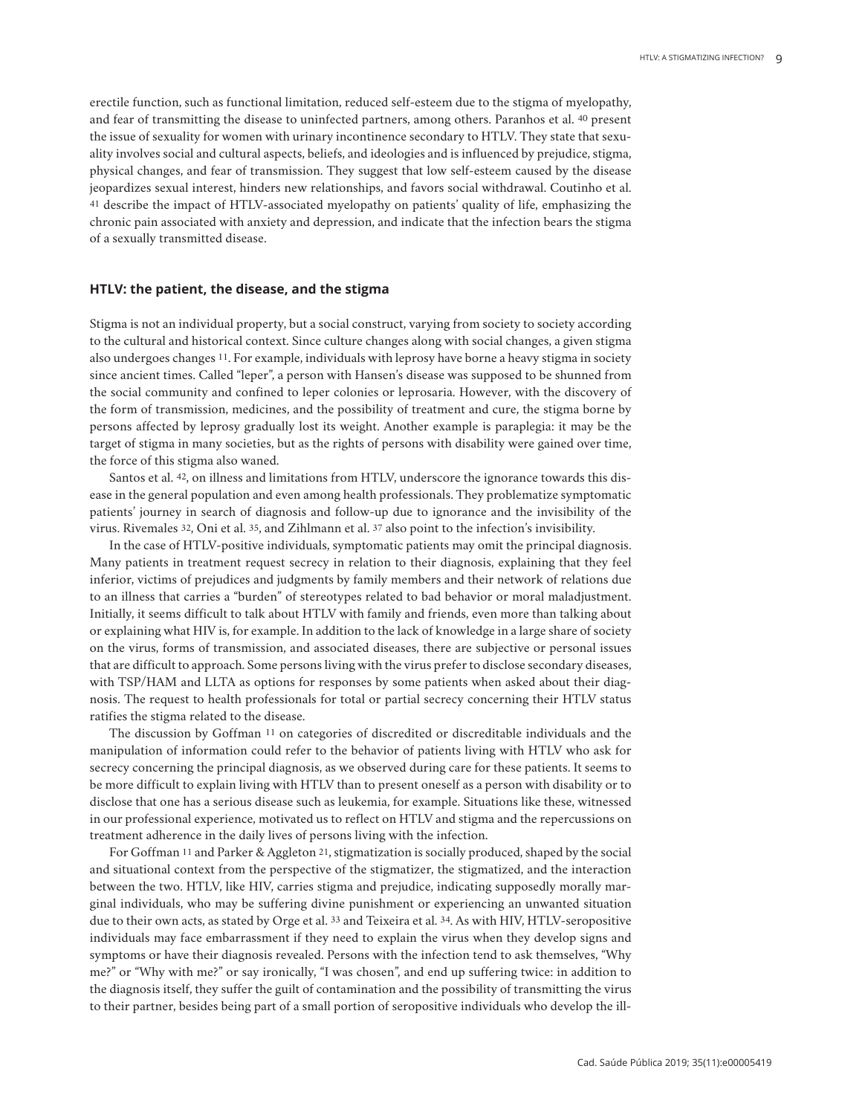erectile function, such as functional limitation, reduced self-esteem due to the stigma of myelopathy, and fear of transmitting the disease to uninfected partners, among others. Paranhos et al. 40 present the issue of sexuality for women with urinary incontinence secondary to HTLV. They state that sexuality involves social and cultural aspects, beliefs, and ideologies and is influenced by prejudice, stigma, physical changes, and fear of transmission. They suggest that low self-esteem caused by the disease jeopardizes sexual interest, hinders new relationships, and favors social withdrawal. Coutinho et al. 41 describe the impact of HTLV-associated myelopathy on patients' quality of life, emphasizing the chronic pain associated with anxiety and depression, and indicate that the infection bears the stigma of a sexually transmitted disease.

### **HTLV: the patient, the disease, and the stigma**

Stigma is not an individual property, but a social construct, varying from society to society according to the cultural and historical context. Since culture changes along with social changes, a given stigma also undergoes changes 11. For example, individuals with leprosy have borne a heavy stigma in society since ancient times. Called "leper", a person with Hansen's disease was supposed to be shunned from the social community and confined to leper colonies or leprosaria. However, with the discovery of the form of transmission, medicines, and the possibility of treatment and cure, the stigma borne by persons affected by leprosy gradually lost its weight. Another example is paraplegia: it may be the target of stigma in many societies, but as the rights of persons with disability were gained over time, the force of this stigma also waned.

Santos et al. 42, on illness and limitations from HTLV, underscore the ignorance towards this disease in the general population and even among health professionals. They problematize symptomatic patients' journey in search of diagnosis and follow-up due to ignorance and the invisibility of the virus. Rivemales 32, Oni et al. 35, and Zihlmann et al. 37 also point to the infection's invisibility.

In the case of HTLV-positive individuals, symptomatic patients may omit the principal diagnosis. Many patients in treatment request secrecy in relation to their diagnosis, explaining that they feel inferior, victims of prejudices and judgments by family members and their network of relations due to an illness that carries a "burden" of stereotypes related to bad behavior or moral maladjustment. Initially, it seems difficult to talk about HTLV with family and friends, even more than talking about or explaining what HIV is, for example. In addition to the lack of knowledge in a large share of society on the virus, forms of transmission, and associated diseases, there are subjective or personal issues that are difficult to approach. Some persons living with the virus prefer to disclose secondary diseases, with TSP/HAM and LLTA as options for responses by some patients when asked about their diagnosis. The request to health professionals for total or partial secrecy concerning their HTLV status ratifies the stigma related to the disease.

The discussion by Goffman 11 on categories of discredited or discreditable individuals and the manipulation of information could refer to the behavior of patients living with HTLV who ask for secrecy concerning the principal diagnosis, as we observed during care for these patients. It seems to be more difficult to explain living with HTLV than to present oneself as a person with disability or to disclose that one has a serious disease such as leukemia, for example. Situations like these, witnessed in our professional experience, motivated us to reflect on HTLV and stigma and the repercussions on treatment adherence in the daily lives of persons living with the infection.

For Goffman 11 and Parker & Aggleton 21, stigmatization is socially produced, shaped by the social and situational context from the perspective of the stigmatizer, the stigmatized, and the interaction between the two. HTLV, like HIV, carries stigma and prejudice, indicating supposedly morally marginal individuals, who may be suffering divine punishment or experiencing an unwanted situation due to their own acts, as stated by Orge et al. 33 and Teixeira et al. 34. As with HIV, HTLV-seropositive individuals may face embarrassment if they need to explain the virus when they develop signs and symptoms or have their diagnosis revealed. Persons with the infection tend to ask themselves, "Why me?" or "Why with me?" or say ironically, "I was chosen", and end up suffering twice: in addition to the diagnosis itself, they suffer the guilt of contamination and the possibility of transmitting the virus to their partner, besides being part of a small portion of seropositive individuals who develop the ill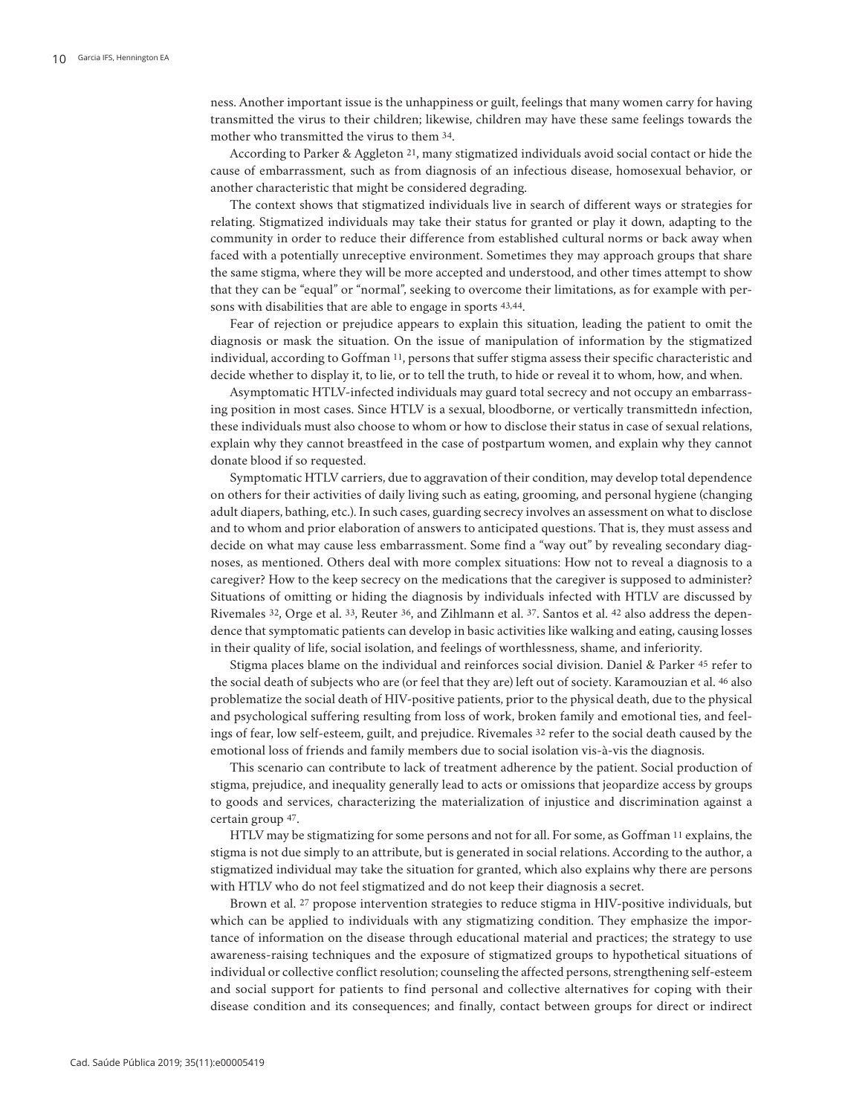ness. Another important issue is the unhappiness or guilt, feelings that many women carry for having transmitted the virus to their children; likewise, children may have these same feelings towards the mother who transmitted the virus to them 34.

According to Parker & Aggleton 21, many stigmatized individuals avoid social contact or hide the cause of embarrassment, such as from diagnosis of an infectious disease, homosexual behavior, or another characteristic that might be considered degrading.

The context shows that stigmatized individuals live in search of different ways or strategies for relating. Stigmatized individuals may take their status for granted or play it down, adapting to the community in order to reduce their difference from established cultural norms or back away when faced with a potentially unreceptive environment. Sometimes they may approach groups that share the same stigma, where they will be more accepted and understood, and other times attempt to show that they can be "equal" or "normal", seeking to overcome their limitations, as for example with persons with disabilities that are able to engage in sports 43,44.

Fear of rejection or prejudice appears to explain this situation, leading the patient to omit the diagnosis or mask the situation. On the issue of manipulation of information by the stigmatized individual, according to Goffman 11, persons that suffer stigma assess their specific characteristic and decide whether to display it, to lie, or to tell the truth, to hide or reveal it to whom, how, and when.

Asymptomatic HTLV-infected individuals may guard total secrecy and not occupy an embarrassing position in most cases. Since HTLV is a sexual, bloodborne, or vertically transmittedn infection, these individuals must also choose to whom or how to disclose their status in case of sexual relations, explain why they cannot breastfeed in the case of postpartum women, and explain why they cannot donate blood if so requested.

Symptomatic HTLV carriers, due to aggravation of their condition, may develop total dependence on others for their activities of daily living such as eating, grooming, and personal hygiene (changing adult diapers, bathing, etc.). In such cases, guarding secrecy involves an assessment on what to disclose and to whom and prior elaboration of answers to anticipated questions. That is, they must assess and decide on what may cause less embarrassment. Some find a "way out" by revealing secondary diagnoses, as mentioned. Others deal with more complex situations: How not to reveal a diagnosis to a caregiver? How to the keep secrecy on the medications that the caregiver is supposed to administer? Situations of omitting or hiding the diagnosis by individuals infected with HTLV are discussed by Rivemales 32, Orge et al. 33, Reuter 36, and Zihlmann et al. 37. Santos et al. 42 also address the dependence that symptomatic patients can develop in basic activities like walking and eating, causing losses in their quality of life, social isolation, and feelings of worthlessness, shame, and inferiority.

Stigma places blame on the individual and reinforces social division. Daniel & Parker 45 refer to the social death of subjects who are (or feel that they are) left out of society. Karamouzian et al. 46 also problematize the social death of HIV-positive patients, prior to the physical death, due to the physical and psychological suffering resulting from loss of work, broken family and emotional ties, and feelings of fear, low self-esteem, guilt, and prejudice. Rivemales 32 refer to the social death caused by the emotional loss of friends and family members due to social isolation vis-à-vis the diagnosis.

This scenario can contribute to lack of treatment adherence by the patient. Social production of stigma, prejudice, and inequality generally lead to acts or omissions that jeopardize access by groups to goods and services, characterizing the materialization of injustice and discrimination against a certain group 47.

HTLV may be stigmatizing for some persons and not for all. For some, as Goffman 11 explains, the stigma is not due simply to an attribute, but is generated in social relations. According to the author, a stigmatized individual may take the situation for granted, which also explains why there are persons with HTLV who do not feel stigmatized and do not keep their diagnosis a secret.

Brown et al. 27 propose intervention strategies to reduce stigma in HIV-positive individuals, but which can be applied to individuals with any stigmatizing condition. They emphasize the importance of information on the disease through educational material and practices; the strategy to use awareness-raising techniques and the exposure of stigmatized groups to hypothetical situations of individual or collective conflict resolution; counseling the affected persons, strengthening self-esteem and social support for patients to find personal and collective alternatives for coping with their disease condition and its consequences; and finally, contact between groups for direct or indirect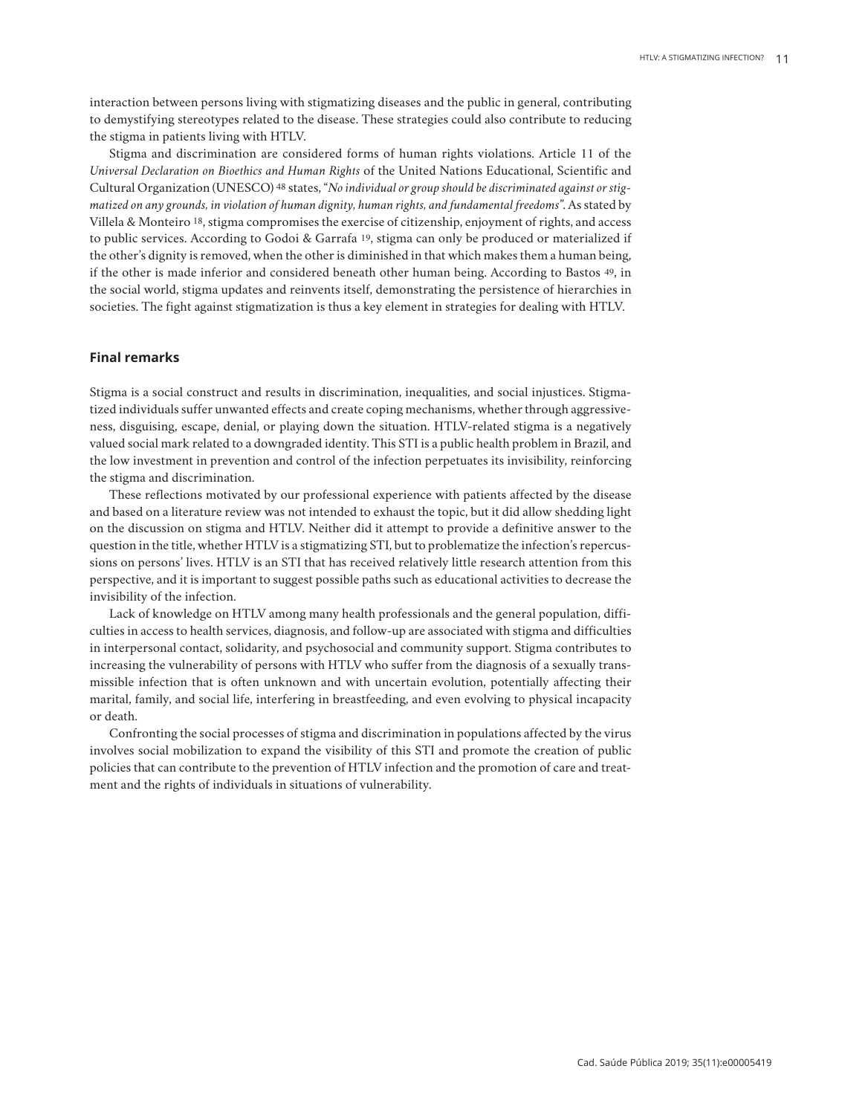interaction between persons living with stigmatizing diseases and the public in general, contributing to demystifying stereotypes related to the disease. These strategies could also contribute to reducing the stigma in patients living with HTLV.

Stigma and discrimination are considered forms of human rights violations. Article 11 of the *Universal Declaration on Bioethics and Human Rights* of the United Nations Educational, Scientific and Cultural Organization (UNESCO) 48 states, "*No individual or group should be discriminated against or stigmatized on any grounds, in violation of human dignity, human rights, and fundamental freedoms*". As stated by Villela & Monteiro 18, stigma compromises the exercise of citizenship, enjoyment of rights, and access to public services. According to Godoi & Garrafa 19, stigma can only be produced or materialized if the other's dignity is removed, when the other is diminished in that which makes them a human being, if the other is made inferior and considered beneath other human being. According to Bastos 49, in the social world, stigma updates and reinvents itself, demonstrating the persistence of hierarchies in societies. The fight against stigmatization is thus a key element in strategies for dealing with HTLV.

## **Final remarks**

Stigma is a social construct and results in discrimination, inequalities, and social injustices. Stigmatized individuals suffer unwanted effects and create coping mechanisms, whether through aggressiveness, disguising, escape, denial, or playing down the situation. HTLV-related stigma is a negatively valued social mark related to a downgraded identity. This STI is a public health problem in Brazil, and the low investment in prevention and control of the infection perpetuates its invisibility, reinforcing the stigma and discrimination.

These reflections motivated by our professional experience with patients affected by the disease and based on a literature review was not intended to exhaust the topic, but it did allow shedding light on the discussion on stigma and HTLV. Neither did it attempt to provide a definitive answer to the question in the title, whether HTLV is a stigmatizing STI, but to problematize the infection's repercussions on persons' lives. HTLV is an STI that has received relatively little research attention from this perspective, and it is important to suggest possible paths such as educational activities to decrease the invisibility of the infection.

Lack of knowledge on HTLV among many health professionals and the general population, difficulties in access to health services, diagnosis, and follow-up are associated with stigma and difficulties in interpersonal contact, solidarity, and psychosocial and community support. Stigma contributes to increasing the vulnerability of persons with HTLV who suffer from the diagnosis of a sexually transmissible infection that is often unknown and with uncertain evolution, potentially affecting their marital, family, and social life, interfering in breastfeeding, and even evolving to physical incapacity or death.

Confronting the social processes of stigma and discrimination in populations affected by the virus involves social mobilization to expand the visibility of this STI and promote the creation of public policies that can contribute to the prevention of HTLV infection and the promotion of care and treatment and the rights of individuals in situations of vulnerability.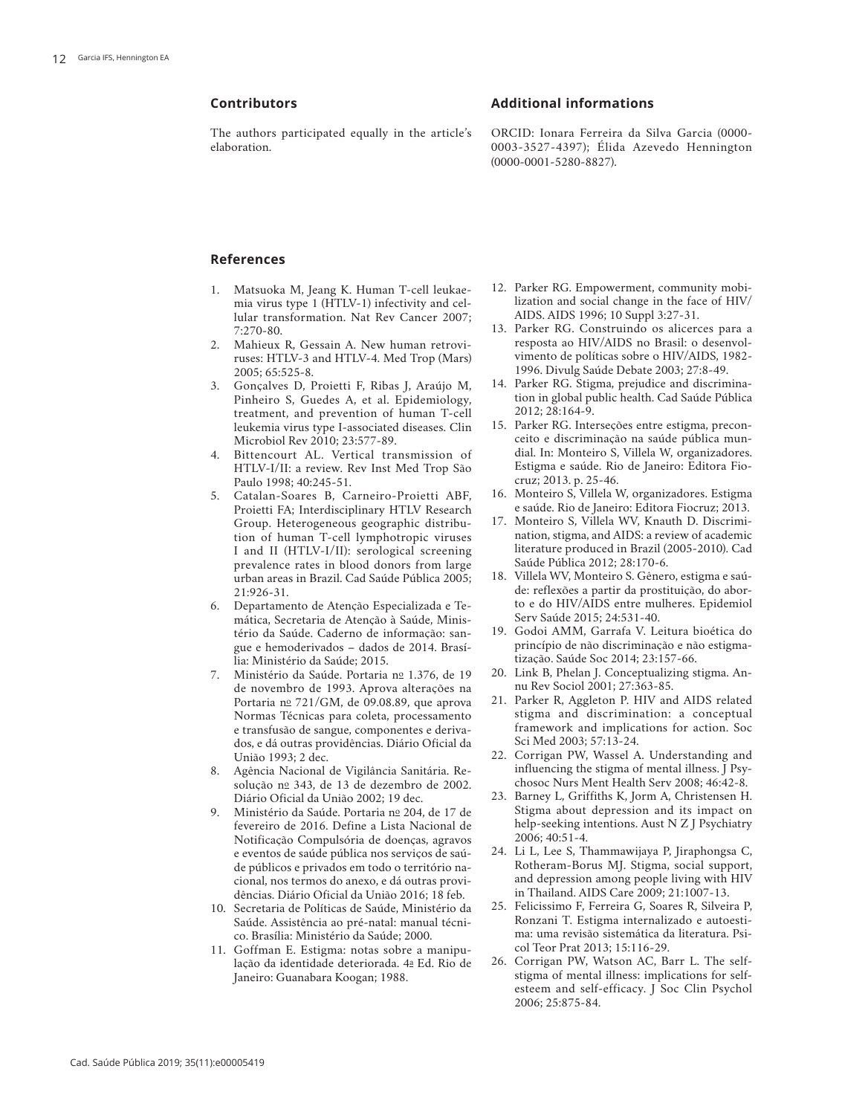## **Contributors**

The authors participated equally in the article's elaboration.

## **Additional informations**

ORCID: Ionara Ferreira da Silva Garcia (0000- 0003-3527-4397); Élida Azevedo Hennington (0000-0001-5280-8827).

## **References**

- 1. Matsuoka M, Jeang K. Human T-cell leukae mia virus type 1 (HTLV-1) infectivity and cel lular transformation. Nat Rev Cancer 2007; 7:270-80.
- 2. Mahieux R, Gessain A. New human retrovi ruses: HTLV-3 and HTLV-4. Med Trop (Mars) 2005; 65:525-8.
- 3. Gonçalves D, Proietti F, Ribas J, Araújo M, Pinheiro S, Guedes A, et al. Epidemiology, treatment, and prevention of human T-cell leukemia virus type I-associated diseases. Clin Microbiol Rev 2010; 23:577-89.
- 4. Bittencourt AL. Vertical transmission of HTLV-I/II: a review. Rev Inst Med Trop São Paulo 1998; 40:245-51.
- 5. Catalan-Soares B, Carneiro-Proietti ABF, Proietti FA; Interdisciplinary HTLV Research Group. Heterogeneous geographic distribu tion of human T-cell lymphotropic viruses I and II (HTLV-I/II): serological screening prevalence rates in blood donors from large urban areas in Brazil. Cad Saúde Pública 2005; 21:926-31.
- 6. Departamento de Atenção Especializada e Te mática, Secretaria de Atenção à Saúde, Minis tério da Saúde. Caderno de informação: san gue e hemoderivados – dados de 2014. Brasí lia: Ministério da Saúde; 2015.
- 7. Ministério da Saúde. Portaria nº 1.376, de 19 de novembro de 1993. Aprova alterações na Portaria nº 721/GM, de 09.08.89, que aprova Normas Técnicas para coleta, processamento e transfusão de sangue, componentes e deriva dos, e dá outras providências. Diário Oficial da União 1993; 2 dec.
- 8. Agência Nacional de Vigilância Sanitária. Re solução n o 343, de 13 de dezembro de 2002. Diário Oficial da União 2002; 19 dec.
- 9. Ministério da Saúde. Portaria nº 204, de 17 de fevereiro de 2016. Define a Lista Nacional de Notificação Compulsória de doenças, agravos e eventos de saúde pública nos serviços de saú de públicos e privados em todo o território na cional, nos termos do anexo, e dá outras provi dências. Diário Oficial da União 2016; 18 feb.
- 10. Secretaria de Políticas de Saúde, Ministério da Saúde. Assistência ao pré-natal: manual técni co. Brasília: Ministério da Saúde; 2000.
- 11. Goffman E. Estigma: notas sobre a manipu lação da identidade deteriorada. 4 a Ed. Rio de Janeiro: Guanabara Koogan; 1988.
- 12. Parker RG. Empowerment, community mobi lization and social change in the face of HIV/ AIDS. AIDS 1996; 10 Suppl 3:27-31.
- 13. Parker RG. Construindo os alicerces para a resposta ao HIV/AIDS no Brasil: o desenvol vimento de políticas sobre o HIV/AIDS, 1982- 1996. Divulg Saúde Debate 2003; 27:8-49.
- 14. Parker RG. Stigma, prejudice and discrimina tion in global public health. Cad Saúde Pública 2012; 28:164-9.
- 15. Parker RG. Interseções entre estigma, precon ceito e discriminação na saúde pública mun dial. In: Monteiro S, Villela W, organizadores. Estigma e saúde. Rio de Janeiro: Editora Fio cruz; 2013. p. 25-46.
- 16. Monteiro S, Villela W, organizadores. Estigma e saúde. Rio de Janeiro: Editora Fiocruz; 2013.
- 17. Monteiro S, Villela WV, Knauth D. Discrimi nation, stigma, and AIDS: a review of academic literature produced in Brazil (2005-2010). Cad Saúde Pública 2012; 28:170-6.
- 18. Villela WV, Monteiro S. Gênero, estigma e saú de: reflexões a partir da prostituição, do abor to e do HIV/AIDS entre mulheres. Epidemiol Serv Saúde 2015; 24:531-40.
- 19. Godoi AMM, Garrafa V. Leitura bioética do princípio de não discriminação e não estigma tização. Saúde Soc 2014; 23:157-66.
- 20. Link B, Phelan J. Conceptualizing stigma. An nu Rev Sociol 2001; 27:363-85.
- 21. Parker R, Aggleton P. HIV and AIDS related stigma and discrimination: a conceptual framework and implications for action. Soc Sci Med 2003; 57:13-24.
- 22. Corrigan PW, Wassel A. Understanding and influencing the stigma of mental illness. J Psy chosoc Nurs Ment Health Serv 2008; 46:42-8.
- 23. Barney L, Griffiths K, Jorm A, Christensen H. Stigma about depression and its impact on help-seeking intentions. Aust N Z J Psychiatry 2006; 40:51-4.
- 24. Li L, Lee S, Thammawijaya P, Jiraphongsa C, Rotheram-Borus MJ. Stigma, social support, and depression among people living with HIV in Thailand. AIDS Care 2009; 21:1007-13.
- 25. Felicissimo F, Ferreira G, Soares R, Silveira P, Ronzani T. Estigma internalizado e autoesti ma: uma revisão sistemática da literatura. Psi col Teor Prat 2013; 15:116-29.
- 26. Corrigan PW, Watson AC, Barr L. The selfstigma of mental illness: implications for selfesteem and self-efficacy. J Soc Clin Psychol 2006; 25:875-84.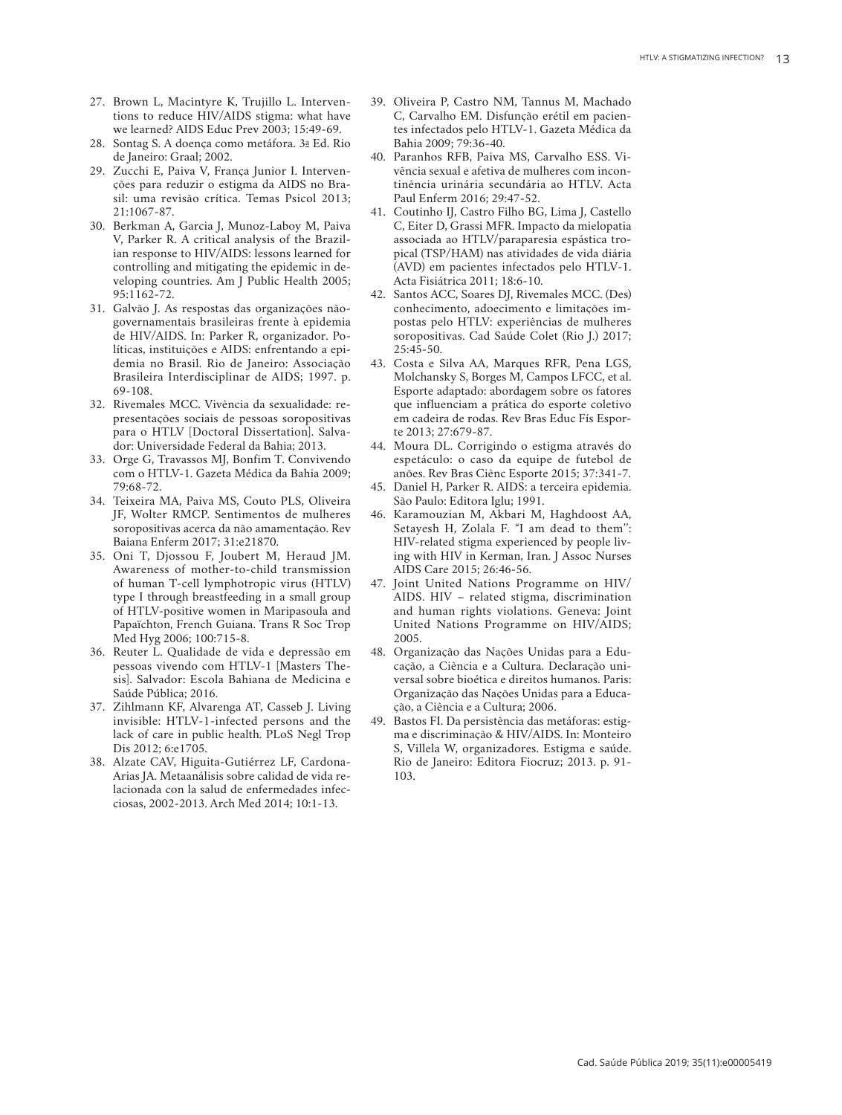- 27. Brown L, Macintyre K, Trujillo L. Interven tions to reduce HIV/AIDS stigma: what have we learned? AIDS Educ Prev 2003; 15:49-69.
- 28. Sontag S. A doença como metáfora. 3 a Ed. Rio de Janeiro: Graal; 2002.
- 29. Zucchi E, Paiva V, França Junior I. Interven ções para reduzir o estigma da AIDS no Bra sil: uma revisão crítica. Temas Psicol 2013; 21:1067-87.
- 30. Berkman A, Garcia J, Munoz-Laboy M, Paiva V, Parker R. A critical analysis of the Brazil ian response to HIV/AIDS: lessons learned for controlling and mitigating the epidemic in de veloping countries. Am J Public Health 2005; 95:1162-72.
- 31. Galvão J. As respostas das organizações nãogovernamentais brasileiras frente à epidemia de HIV/AIDS. In: Parker R, organizador. Po líticas, instituições e AIDS: enfrentando a epi demia no Brasil. Rio de Janeiro: Associação Brasileira Interdisciplinar de AIDS; 1997. p. 69-108.
- 32. Rivemales MCC. Vivência da sexualidade: re presentações sociais de pessoas soropositivas para o HTLV [Doctoral Dissertation]. Salva dor: Universidade Federal da Bahia; 2013.
- 33. Orge G, Travassos MJ, Bonfim T. Convivendo com o HTLV-1. Gazeta Médica da Bahia 2009; 79:68-72.
- 34. Teixeira MA, Paiva MS, Couto PLS, Oliveira JF, Wolter RMCP. Sentimentos de mulheres soropositivas acerca da não amamentação. Rev Baiana Enferm 2017; 31:e21870.
- 35. Oni T, Djossou F, Joubert M, Heraud JM. Awareness of mother-to-child transmission of human T-cell lymphotropic virus (HTLV) type I through breastfeeding in a small group of HTLV-positive women in Maripasoula and Papaïchton, French Guiana. Trans R Soc Trop Med Hyg 2006; 100:715-8.
- 36. Reuter L. Qualidade de vida e depressão em pessoas vivendo com HTLV-1 [Masters The sis]. Salvador: Escola Bahiana de Medicina e Saúde Pública; 2016.
- 37. Zihlmann KF, Alvarenga AT, Casseb J. Living invisible: HTLV-1-infected persons and the lack of care in public health. PLoS Negl Trop Dis 2012; 6:e1705.
- 38. Alzate CAV, Higuita-Gutiérrez LF, Cardona-Arias JA. Metaanálisis sobre calidad de vida relacionada con la salud de enfermedades infecciosas, 2002-2013. Arch Med 2014; 10:1-13.
- 39. Oliveira P, Castro NM, Tannus M, Machado C, Carvalho EM. Disfunção erétil em pacien tes infectados pelo HTLV-1. Gazeta Médica da Bahia 2009; 79:36-40.
- 40. Paranhos RFB, Paiva MS, Carvalho ESS. Vi vência sexual e afetiva de mulheres com incon tinência urinária secundária ao HTLV. Acta Paul Enferm 2016; 29:47-52.
- 41. Coutinho IJ, Castro Filho BG, Lima J, Castello C, Eiter D, Grassi MFR. Impacto da mielopatia associada ao HTLV/paraparesia espástica tro pical (TSP/HAM) nas atividades de vida diária (AVD) em pacientes infectados pelo HTLV-1. Acta Fisiátrica 2011; 18:6-10.
- 42. Santos ACC, Soares DJ, Rivemales MCC. (Des) conhecimento, adoecimento e limitações im postas pelo HTLV: experiências de mulheres soropositivas. Cad Saúde Colet (Rio J.) 2017; 25:45-50.
- 43. Costa e Silva AA, Marques RFR, Pena LGS, Molchansky S, Borges M, Campos LFCC, et al. Esporte adaptado: abordagem sobre os fatores que influenciam a prática do esporte coletivo em cadeira de rodas. Rev Bras Educ Fís Espor te 2013; 27:679-87.
- 44. Moura DL. Corrigindo o estigma através do espetáculo: o caso da equipe de futebol de anões. Rev Bras Ciênc Esporte 2015; 37:341-7.
- 45. Daniel H, Parker R. AIDS: a terceira epidemia. São Paulo: Editora Iglu; 1991.
- 46. Karamouzian M, Akbari M, Haghdoost AA, Setayesh H, Zolala F. "I am dead to them'': HIV-related stigma experienced by people liv ing with HIV in Kerman, Iran. J Assoc Nurses AIDS Care 2015; 26:46-56.
- 47. Joint United Nations Programme on HIV/ AIDS. HIV – related stigma, discrimination and human rights violations. Geneva: Joint United Nations Programme on HIV/AIDS; 2005.
- 48. Organização das Nações Unidas para a Edu cação, a Ciência e a Cultura. Declaração uni versal sobre bioética e direitos humanos. Paris: Organização das Nações Unidas para a Educa ção, a Ciência e a Cultura; 2006.
- 49. Bastos FI. Da persistência das metáforas: estig ma e discriminação & HIV/AIDS. In: Monteiro S, Villela W, organizadores. Estigma e saúde. Rio de Janeiro: Editora Fiocruz; 2013. p. 91- 103.